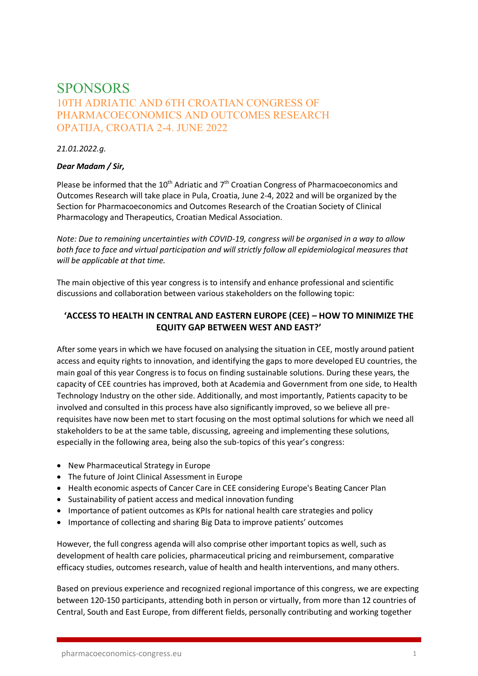# **SPONSORS** 10TH ADRIATIC AND 6TH CROATIAN CONGRESS OF PHARMACOECONOMICS AND OUTCOMES RESEARCH OPATIJA, CROATIA 2-4. JUNE 2022

*21.01.2022.g.*

## *Dear Madam / Sir,*

Please be informed that the  $10^{th}$  Adriatic and  $7^{th}$  Croatian Congress of Pharmacoeconomics and Outcomes Research will take place in Pula, Croatia, June 2-4, 2022 and will be organized by the Section for Pharmacoeconomics and Outcomes Research of the Croatian Society of Clinical Pharmacology and Therapeutics, Croatian Medical Association.

*Note: Due to remaining uncertainties with COVID-19, congress will be organised in a way to allow both face to face and virtual participation and will strictly follow all epidemiological measures that will be applicable at that time.*

The main objective of this year congress is to intensify and enhance professional and scientific discussions and collaboration between various stakeholders on the following topic:

# **'ACCESS TO HEALTH IN CENTRAL AND EASTERN EUROPE (CEE) – HOW TO MINIMIZE THE EQUITY GAP BETWEEN WEST AND EAST?'**

After some years in which we have focused on analysing the situation in CEE, mostly around patient access and equity rights to innovation, and identifying the gaps to more developed EU countries, the main goal of this year Congress is to focus on finding sustainable solutions. During these years, the capacity of CEE countries has improved, both at Academia and Government from one side, to Health Technology Industry on the other side. Additionally, and most importantly, Patients capacity to be involved and consulted in this process have also significantly improved, so we believe all prerequisites have now been met to start focusing on the most optimal solutions for which we need all stakeholders to be at the same table, discussing, agreeing and implementing these solutions, especially in the following area, being also the sub-topics of this year's congress:

- New Pharmaceutical Strategy in Europe
- The future of Joint Clinical Assessment in Europe
- Health economic aspects of Cancer Care in CEE considering Europe's Beating Cancer Plan
- Sustainability of patient access and medical innovation funding
- Importance of patient outcomes as KPIs for national health care strategies and policy
- Importance of collecting and sharing Big Data to improve patients' outcomes

However, the full congress agenda will also comprise other important topics as well, such as development of health care policies, pharmaceutical pricing and reimbursement, comparative efficacy studies, outcomes research, value of health and health interventions, and many others.

Based on previous experience and recognized regional importance of this congress, we are expecting between 120-150 participants, attending both in person or virtually, from more than 12 countries of Central, South and East Europe, from different fields, personally contributing and working together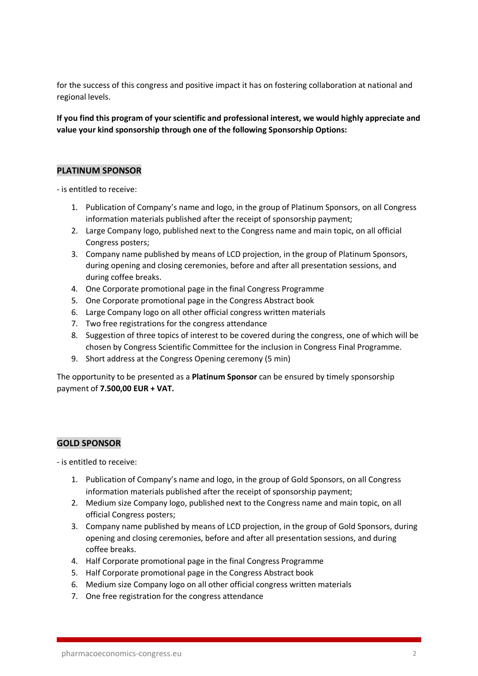for the success of this congress and positive impact it has on fostering collaboration at national and regional levels.

**If you find this program of your scientific and professional interest, we would highly appreciate and value your kind sponsorship through one of the following Sponsorship Options:** 

## **PLATINUM SPONSOR**

- is entitled to receive:

- 1. Publication of Company's name and logo, in the group of Platinum Sponsors, on all Congress information materials published after the receipt of sponsorship payment;
- 2. Large Company logo, published next to the Congress name and main topic, on all official Congress posters;
- 3. Company name published by means of LCD projection, in the group of Platinum Sponsors, during opening and closing ceremonies, before and after all presentation sessions, and during coffee breaks.
- 4. One Corporate promotional page in the final Congress Programme
- 5. One Corporate promotional page in the Congress Abstract book
- 6. Large Company logo on all other official congress written materials
- 7. Two free registrations for the congress attendance
- 8. Suggestion of three topics of interest to be covered during the congress, one of which will be chosen by Congress Scientific Committee for the inclusion in Congress Final Programme.
- 9. Short address at the Congress Opening ceremony (5 min)

The opportunity to be presented as a **Platinum Sponsor** can be ensured by timely sponsorship payment of **7.500,00 EUR + VAT.** 

## **GOLD SPONSOR**

- is entitled to receive:

- 1. Publication of Company's name and logo, in the group of Gold Sponsors, on all Congress information materials published after the receipt of sponsorship payment;
- 2. Medium size Company logo, published next to the Congress name and main topic, on all official Congress posters;
- 3. Company name published by means of LCD projection, in the group of Gold Sponsors, during opening and closing ceremonies, before and after all presentation sessions, and during coffee breaks.
- 4. Half Corporate promotional page in the final Congress Programme
- 5. Half Corporate promotional page in the Congress Abstract book
- 6. Medium size Company logo on all other official congress written materials
- 7. One free registration for the congress attendance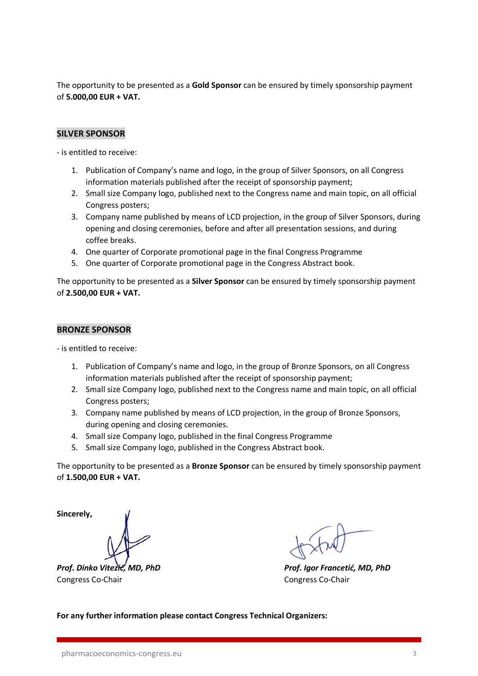The opportunity to be presented as a **Gold Sponsor** can be ensured by timely sponsorship payment of **5.000,00 EUR + VAT.**

## **SILVER SPONSOR**

- is entitled to receive:

- 1. Publication of Company's name and logo, in the group of Silver Sponsors, on all Congress information materials published after the receipt of sponsorship payment;
- 2. Small size Company logo, published next to the Congress name and main topic, on all official Congress posters;
- 3. Company name published by means of LCD projection, in the group of Silver Sponsors, during opening and closing ceremonies, before and after all presentation sessions, and during coffee breaks.
- 4. One quarter of Corporate promotional page in the final Congress Programme
- 5. One quarter of Corporate promotional page in the Congress Abstract book.

The opportunity to be presented as a **Silver Sponsor** can be ensured by timely sponsorship payment of **2.500,00 EUR + VAT.** 

#### **BRONZE SPONSOR**

- is entitled to receive:

- 1. Publication of Company's name and logo, in the group of Bronze Sponsors, on all Congress information materials published after the receipt of sponsorship payment;
- 2. Small size Company logo, published next to the Congress name and main topic, on all official Congress posters;
- 3. Company name published by means of LCD projection, in the group of Bronze Sponsors, during opening and closing ceremonies.
- 4. Small size Company logo, published in the final Congress Programme
- 5. Small size Company logo, published in the Congress Abstract book.

The opportunity to be presented as a **Bronze Sponsor** can be ensured by timely sponsorship payment of **1.500,00 EUR + VAT.** 

**Sincerely,** 

Congress Co-Chair Congress Co-Chair

*Prof. Dinko Vitezić, MD, PhD Prof. Igor Francetić, MD, PhD*

**For any further information please contact Congress Technical Organizers:**